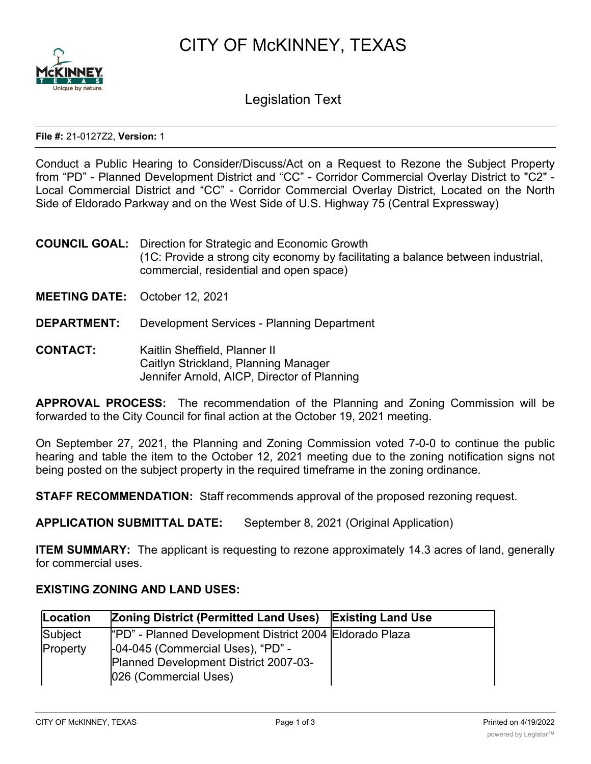CITY OF McKINNEY, TEXAS



Legislation Text

## **File #:** 21-0127Z2, **Version:** 1

Conduct a Public Hearing to Consider/Discuss/Act on a Request to Rezone the Subject Property from "PD" - Planned Development District and "CC" - Corridor Commercial Overlay District to "C2" - Local Commercial District and "CC" - Corridor Commercial Overlay District, Located on the North Side of Eldorado Parkway and on the West Side of U.S. Highway 75 (Central Expressway)

- **COUNCIL GOAL:** Direction for Strategic and Economic Growth (1C: Provide a strong city economy by facilitating a balance between industrial, commercial, residential and open space)
- **MEETING DATE:** October 12, 2021
- **DEPARTMENT:** Development Services Planning Department
- **CONTACT:** Kaitlin Sheffield, Planner II Caitlyn Strickland, Planning Manager Jennifer Arnold, AICP, Director of Planning

**APPROVAL PROCESS:** The recommendation of the Planning and Zoning Commission will be forwarded to the City Council for final action at the October 19, 2021 meeting.

On September 27, 2021, the Planning and Zoning Commission voted 7-0-0 to continue the public hearing and table the item to the October 12, 2021 meeting due to the zoning notification signs not being posted on the subject property in the required timeframe in the zoning ordinance.

**STAFF RECOMMENDATION:** Staff recommends approval of the proposed rezoning request.

**APPLICATION SUBMITTAL DATE:** September 8, 2021 (Original Application)

**ITEM SUMMARY:** The applicant is requesting to rezone approximately 14.3 acres of land, generally for commercial uses.

## **EXISTING ZONING AND LAND USES:**

-06-18 (Commercial Uses)

| Location | Zoning District (Permitted Land Uses) Existing Land Use        |  |
|----------|----------------------------------------------------------------|--|
| Subject  | "PD" - Planned Development District 2004 Eldorado Plaza        |  |
| Property | -04-045 (Commercial Uses), "PD" -                              |  |
|          | Planned Development District 2007-03-<br>026 (Commercial Uses) |  |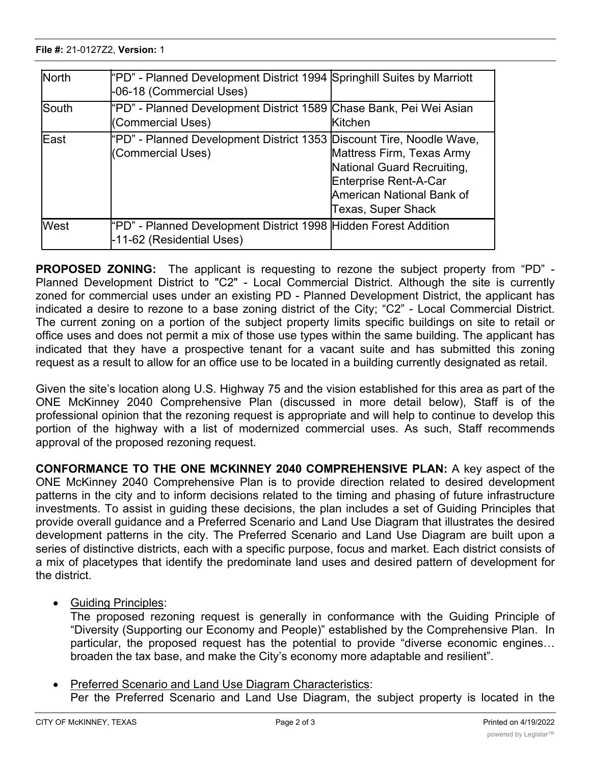Property

| <b>North</b> | "PD" - Planned Development District 1994 Springhill Suites by Marriott<br>-06-18 (Commercial Uses) |                                                                                                                                     |
|--------------|----------------------------------------------------------------------------------------------------|-------------------------------------------------------------------------------------------------------------------------------------|
| <b>South</b> | "PD" - Planned Development District 1589 Chase Bank, Pei Wei Asian<br>(Commercial Uses)            | <b>Kitchen</b>                                                                                                                      |
| <b>IEast</b> | "PD" - Planned Development District 1353 Discount Tire, Noodle Wave,<br>(Commercial Uses)          | Mattress Firm, Texas Army<br>National Guard Recruiting,<br>Enterprise Rent-A-Car<br>American National Bank of<br>Texas, Super Shack |
| <b>West</b>  | "PD" - Planned Development District 1998 Hidden Forest Addition<br>-11-62 (Residential Uses)       |                                                                                                                                     |

 $-0.4\pm0.5$  (Commercial Uses),  $-0.4\pm0.5$ 

**PROPOSED ZONING:** The applicant is requesting to rezone the subject property from "PD" - Planned Development District to "C2" - Local Commercial District. Although the site is currently zoned for commercial uses under an existing PD - Planned Development District, the applicant has indicated a desire to rezone to a base zoning district of the City; "C2" - Local Commercial District. The current zoning on a portion of the subject property limits specific buildings on site to retail or office uses and does not permit a mix of those use types within the same building. The applicant has indicated that they have a prospective tenant for a vacant suite and has submitted this zoning request as a result to allow for an office use to be located in a building currently designated as retail.

Given the site's location along U.S. Highway 75 and the vision established for this area as part of the ONE McKinney 2040 Comprehensive Plan (discussed in more detail below), Staff is of the professional opinion that the rezoning request is appropriate and will help to continue to develop this portion of the highway with a list of modernized commercial uses. As such, Staff recommends approval of the proposed rezoning request.

**CONFORMANCE TO THE ONE MCKINNEY 2040 COMPREHENSIVE PLAN:** A key aspect of the ONE McKinney 2040 Comprehensive Plan is to provide direction related to desired development patterns in the city and to inform decisions related to the timing and phasing of future infrastructure investments. To assist in guiding these decisions, the plan includes a set of Guiding Principles that provide overall guidance and a Preferred Scenario and Land Use Diagram that illustrates the desired development patterns in the city. The Preferred Scenario and Land Use Diagram are built upon a series of distinctive districts, each with a specific purpose, focus and market. Each district consists of a mix of placetypes that identify the predominate land uses and desired pattern of development for the district.

· Guiding Principles:

The proposed rezoning request is generally in conformance with the Guiding Principle of "Diversity (Supporting our Economy and People)" established by the Comprehensive Plan. In particular, the proposed request has the potential to provide "diverse economic engines… broaden the tax base, and make the City's economy more adaptable and resilient".

Preferred Scenario and Land Use Diagram Characteristics: Per the Preferred Scenario and Land Use Diagram, the subject property is located in the